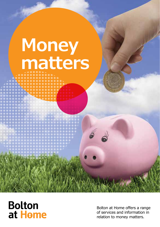# **Money matters**

### **Bolton** at Home

Bolton at Home offers a range of services and information in relation to money matters.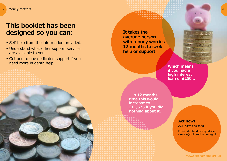### **This booklet has been designed so you can:**

- Self help from the information provided.
- Understand what other support services are available to you.
- Get one to one dedicated support if you need more in depth help.

**It takes the average person with money worries 12 months to seek help or support.**

> **Which means if you had a high interest loan of £250…**

**…in 12 months time this would increase to £11,675 if you did nothing about it.**

#### **Act now!**

Call: 01204 329868

Email: debtandmoneyadvice service@boltonathome.org.uk

www.boltonathome.org.uk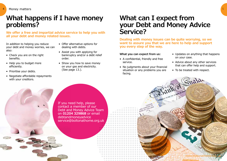### **What happens if I have money problems?**

**We offer a free and impartial advice service to help you with all your debt and money related issues.** 

In addition to helping you reduce your debt and money worries, we can also:

- Check you are on the right benefits.
- Help you to budget more efficiently.
- Prioritise your debts.
- Negotiate affordable repayments with your creditors.
- Offer alternative options for dealing with debts.
- Assist you with applying for bankruptcy and/or a debt relief order.
- Show you how to save money on your gas and electricity. (See page 13.).

### **What can I expect from your Debt and Money Advice Service?**

**Dealing with money issues can be quite worrying, so we want to assure you that we are here to help and support you every step of the way.** 

#### **What you can expect from us:**

- A confidential, friendly and free service.
- No judgments about your financial situation or any problems you are facing.
- Updates on anything that happens on your case.
- Advice about any other services that can offer help and support.
- To be treated with respect.

If you need help, please contact a member of our Debt and Money Advice Team on **01204 329868** or email debtandmoneyadvice service@boltonathome.org.uk

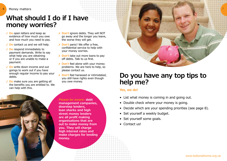## **What should I do if I have money worries?**

- ✓ **Do** open letters and keep as evidence of how much you owe and how much you need to pay.
- ✓ **Do** contact us and we will help.
- ✓ **Do** respond immediately to payment demands. Write to say what help you are obtaining or if you are unable to make a payment.
- ✓ **Do** write down income and out goings to work out if you have enough regular income to pay your debts.
- ✓ **Do** make sure you are getting all the benefits you are entitled to. We can help with this.
- ✗ **Don't** ignore debts. They will NOT go away and the longer you leave, the worse they will get.
- ✗ **Don't** panic! We offer a free, confidential service to help with your money worries.
- ✗ **Don't** take out more loans to pay off debts. Talk to us first.
- ✗ **Don't** feel alone with your money problems. We are here to help, so please contact us.
- ✗ **Don't** feel harassed or intimidated, you still have rights even though you owe money.

**Please be aware: debt management companies, doorstep lenders, loan sharks and high street money lenders are all profit making organisations that are out to make money from you. They will charge high interest rates and make charges for lending money.**



### **Do you have any top tips to help me?**

#### **Yes, we do!**

- List what money is coming in and going out.
- Double check where your money is going.
- Decide which are your spending priorities (see page 8).
- Set yourself a weekly budget.
- Set yourself some goals.
- Contact us!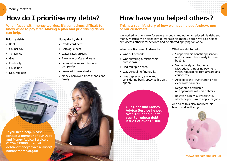### **How do I prioritise my debts?**

Gasaccour

VE AC

**When faced with money worries, it's sometimes difficult to know what to pay first. Making a plan and prioritising debts can help.**

#### **Priority debts:**

- Rent
- Council tax
- TV licence
- Gas
- Electricity
- Court fine
- Secured loan



- Credit card debt
- Catalogue debt
- Water rates arrears
- Bank overdrafts and loans
- Personal loans with finance companies
- Loans with loan sharks
- Money borrowed from friends and family

## **How have you helped others?**

#### **This is a real life story of how we have helped Andrew, one of our customers.**

We worked with Andrew for several months and not only reduced his debt and money worries, we helped him to manage his money better. We also helped him access other local services and he started applying for work.

#### **When we first met Andrew he:**

- Was out of work.
- Was suffering a relationship breakdown.
- Had multiple debts.
- Was struggling financially.
- Was depressed, alone and considering bankruptcy as his only option.

**Our Debt and Money Advice Service helped over 425 people last year to reduce debt issues of over £130k.**

**What we did to help:**

• Supported his benefit application and increased his weekly income by £45.

9

- Immediately applied for a Discretionary Housing Payment which reduced his rent arrears and council tax.
- Applied to the Trust Fund to help clear water arrears.
- Negotiated affordable arrangements with his debtors.
- Referred him to our work club which helped him to apply for jobs.

And all of this also improved his health and wellbeing.



www.boltonathome.org.uk

**If you need help, please contact a member of our Debt and Money Advice Service on 01204 329868 or email debtandmoneyadviceservice@ boltonathome.org.uk**

**A.A. K.A**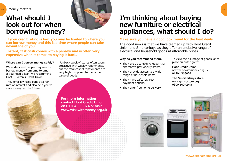### **What should I look out for when borrowing money?**



**If your credit rating is low, you may be limited to where you can borrow money and this is a time where people can take advantage of you.**

**Instant, fast cash comes with a penalty and is often very expensive when it comes to paying it back.**

#### **Where can I borrow money safely?**

We understand people may need to borrow money from time to time. If you need a loan, we recommend Hoot – Bolton's Credit Union.

They offer low cost loans at a fair rate of interest and also help you to save money for the future.

'Payback weekly' stores often seem attractive with weekly repayments, but the total cost of repayments are very high compared to the actual value of goods.

**For more information contact Hoot Credit Union on 01204 365024 or visit www.wisewithmoney.org.uk**

### **I'm thinking about buying new furniture or electrical appliances, what should I do?**

#### **Make sure you have a good look round for the best deals.**

The good news is that we have teamed up with Hoot Credit Union and Smarterbuys as they offer an exclusive range of electrical and household goods at affordable prices.

#### **Why do you recommend them?**

- They are up to 40% cheaper than alternative pay weekly stores.
- They provide access to a wide range of household items.
- They have safe, low cost payment options.
- They offer free home delivery.

To view the full range of goods, or to place an order go to:

#### **Hoot Credit Union** www.wisewithmoney.org.uk 01204 365024

**The Smarterbuys store** www.gm.sbstore.org 0300 500 0975





www.boltonathome.org.uk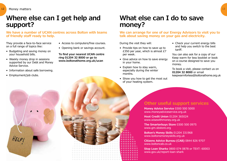### **Where else can I get help and support?**

**We have a number of UCAN centres across Bolton with teams of friendly staff ready to help.** 

They provide a face-to-face service on a full range of topics like:

- Budgeting and saving money on your household bills.
- Weekly money drop in sessions supported by our Debt and Money Advice Service.
- Information about safe borrowing.
- Employment/job clubs.

HELP

- Access to computers/free courses.
- Opening bank or savings account.

**To find your nearest UCAN centre ring 01204 32 8000 or go to www.boltonathome.org.uk/ucan**

### **What else can I do to save money?**

**We can arrange for one of our Energy Advisors to visit you to talk about saving money on your gas and electricity.**

During the visit they will:

- Provide tips on how to save up to £350 per year, which is almost £7 per week.
- Give advice on how to save energy in your home.
- Explain how to stay warm, especially during the winter months.
- Show you how to get the most out of your heating system.

• Check your current energy bills and help you switch to the best tariff.

You can also ask for a copy of our Keep warm for less booklet or book on a course designed to save you money.

To book a visit, please contact us on **01204 32 8000** or email keepwarmforless@boltonathome.org.uk

### **Other useful support services**

**Money Advice Service** 0300 500 5000 www.moneyadviceservice.org.uk

**Hoot Credit Union** 01204 365024 www.wisewithmoney.org.uk

**The Smarterbuys Store** 0300 500 0975 www.gm.sbstore.org

**Bolton's Money Skills** 01204 331968 www.boltonsmoneyskills.org.uk

**Citizens Advice Bureau (CAB)** 0844 826 9707 www.boltoncab.co.uk

**Stop Loan Sharks** 0800 074 0878 or TEXT: 60003 www.gov.uk/report-loan-shark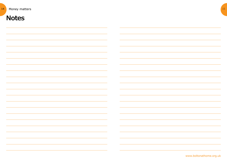| 14 | Money matters                                                                    |                             |                                                                                                                      | 15 |
|----|----------------------------------------------------------------------------------|-----------------------------|----------------------------------------------------------------------------------------------------------------------|----|
|    | <b>Notes</b>                                                                     |                             |                                                                                                                      |    |
|    |                                                                                  |                             |                                                                                                                      |    |
|    |                                                                                  |                             |                                                                                                                      |    |
|    |                                                                                  |                             |                                                                                                                      |    |
|    |                                                                                  |                             |                                                                                                                      |    |
|    |                                                                                  |                             |                                                                                                                      |    |
|    |                                                                                  |                             |                                                                                                                      |    |
|    |                                                                                  |                             |                                                                                                                      |    |
|    |                                                                                  |                             |                                                                                                                      |    |
|    |                                                                                  |                             |                                                                                                                      |    |
|    |                                                                                  |                             |                                                                                                                      |    |
|    |                                                                                  |                             |                                                                                                                      |    |
|    |                                                                                  |                             |                                                                                                                      |    |
|    |                                                                                  |                             |                                                                                                                      |    |
|    |                                                                                  | <u>and</u> the state of the | $\sim$                                                                                                               |    |
|    | 的,我们也不会有什么。""我们的人,我们也不会有什么?""我们的人,我们也不会有什么?""我们的人,我们的人,我们的人,我们的人,我们的人,我们的人,我们的人, |                             | <u> 1989 - Johann Barnett, film brittisk forskellige og det forskellige og det forskellige og det forskellige og</u> |    |
|    | <u> 1989 - Andrea Andrew Maria (h. 1989).</u><br>1905 - Andrew Maria (h. 1906).  |                             | $\sim$                                                                                                               |    |

www.boltonathome.org.uk